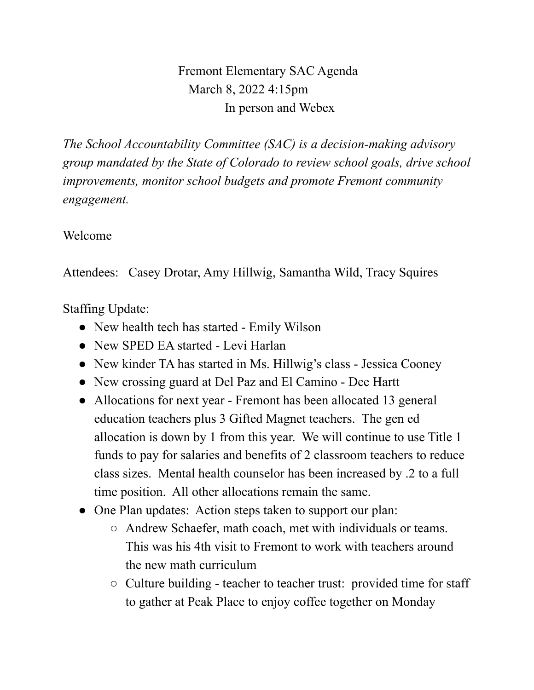Fremont Elementary SAC Agenda March 8, 2022 4:15pm In person and Webex

*The School Accountability Committee (SAC) is a decision-making advisory group mandated by the State of Colorado to review school goals, drive school improvements, monitor school budgets and promote Fremont community engagement.*

## Welcome

Attendees: Casey Drotar, Amy Hillwig, Samantha Wild, Tracy Squires

Staffing Update:

- New health tech has started Emily Wilson
- New SPED EA started Levi Harlan
- New kinder TA has started in Ms. Hillwig's class Jessica Cooney
- New crossing guard at Del Paz and El Camino Dee Hartt
- Allocations for next year Fremont has been allocated 13 general education teachers plus 3 Gifted Magnet teachers. The gen ed allocation is down by 1 from this year. We will continue to use Title 1 funds to pay for salaries and benefits of 2 classroom teachers to reduce class sizes. Mental health counselor has been increased by .2 to a full time position. All other allocations remain the same.
- One Plan updates: Action steps taken to support our plan:
	- Andrew Schaefer, math coach, met with individuals or teams. This was his 4th visit to Fremont to work with teachers around the new math curriculum
	- Culture building teacher to teacher trust: provided time for staff to gather at Peak Place to enjoy coffee together on Monday